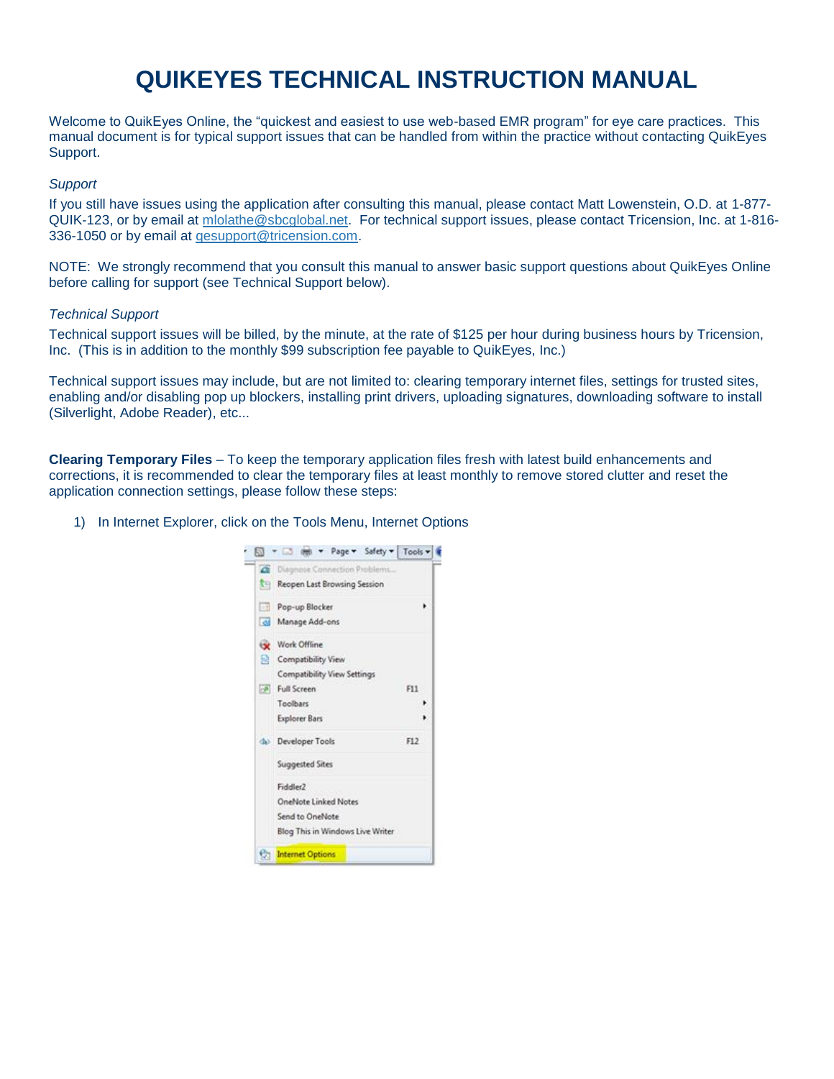# **QUIKEYES TECHNICAL INSTRUCTION MANUAL**

Welcome to QuikEyes Online, the "quickest and easiest to use web-based EMR program" for eye care practices. This manual document is for typical support issues that can be handled from within the practice without contacting QuikEyes Support.

### *Support*

If you still have issues using the application after consulting this manual, please contact Matt Lowenstein, O.D. at 1-877- QUIK-123, or by email at mlolathe@sbcglobal.net. For technical support issues, please contact Tricension, Inc. at 1-816- 336-1050 or by email at [qesupport@tricension.com.](mailto:qesupport@tricension.com)

NOTE: We strongly recommend that you consult this manual to answer basic support questions about QuikEyes Online before calling for support (see Technical Support below).

### *Technical Support*

Technical support issues will be billed, by the minute, at the rate of \$125 per hour during business hours by Tricension, Inc. (This is in addition to the monthly \$99 subscription fee payable to QuikEyes, Inc.)

Technical support issues may include, but are not limited to: clearing temporary internet files, settings for trusted sites, enabling and/or disabling pop up blockers, installing print drivers, uploading signatures, downloading software to install (Silverlight, Adobe Reader), etc...

**Clearing Temporary Files** – To keep the temporary application files fresh with latest build enhancements and corrections, it is recommended to clear the temporary files at least monthly to remove stored clutter and reset the application connection settings, please follow these steps:

1) In Internet Explorer, click on the Tools Menu, Internet Options

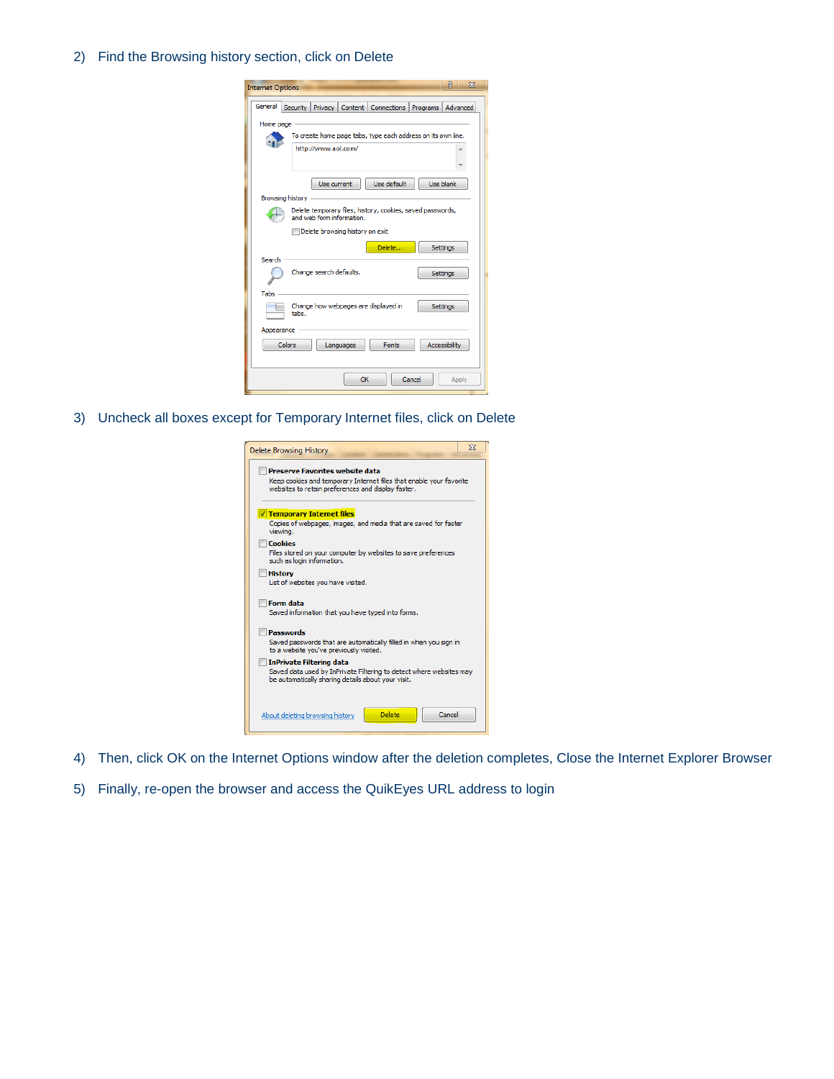## 2) Find the Browsing history section, click on Delete

| $\Sigma$<br>P<br><b>Internet Options</b>                                                |
|-----------------------------------------------------------------------------------------|
| General<br>Security  <br>Privacy   Content   Connections<br>Advanced<br>Programs        |
| Home page                                                                               |
| To create home page tabs, type each address on its own line.                            |
| http://www.aol.com/<br>À                                                                |
|                                                                                         |
| Use default<br>Use blank<br>Use current                                                 |
| Browsing history                                                                        |
| Delete temporary files, history, cookies, saved passwords,<br>and web form information. |
| Delete browsing history on exit                                                         |
| Delete<br>Settings                                                                      |
| Search                                                                                  |
| Change search defaults.<br><b>Settings</b>                                              |
| Tabs                                                                                    |
| Change how webpages are displayed in<br><b>Settings</b><br>tabs.                        |
| Appearance                                                                              |
| Colors<br>Fonts<br><b>Accessibility</b><br>Languages                                    |
|                                                                                         |
| Cancel<br>OK<br>Apply                                                                   |

3) Uncheck all boxes except for Temporary Internet files, click on Delete

| <b>Delete Browsing History</b>                                                                                                                               | $\Sigma$ |
|--------------------------------------------------------------------------------------------------------------------------------------------------------------|----------|
| Preserve Favorites website data<br>Keep cookies and temporary Internet files that enable your favorite<br>websites to retain preferences and display faster. |          |
| Temporary Internet files                                                                                                                                     |          |
| Copies of webpages, images, and media that are saved for faster<br>viewing.                                                                                  |          |
| Cookies<br>Files stored on your computer by websites to save preferences<br>such as login information.                                                       |          |
| <b>History</b><br>List of websites you have visited.                                                                                                         |          |
| <b>Form data</b><br>Saved information that you have typed into forms.                                                                                        |          |
| <b>Passwords</b><br>Saved passwords that are automatically filled in when you sign in<br>to a website vou've previously visited.                             |          |
| <b>InPrivate Filtering data</b><br>Saved data used by InPrivate Filtering to detect where websites may<br>be automatically sharing details about your visit. |          |
| Cancel<br>Delete<br>About deleting browsing history                                                                                                          |          |

- 4) Then, click OK on the Internet Options window after the deletion completes, Close the Internet Explorer Browser
- 5) Finally, re-open the browser and access the QuikEyes URL address to login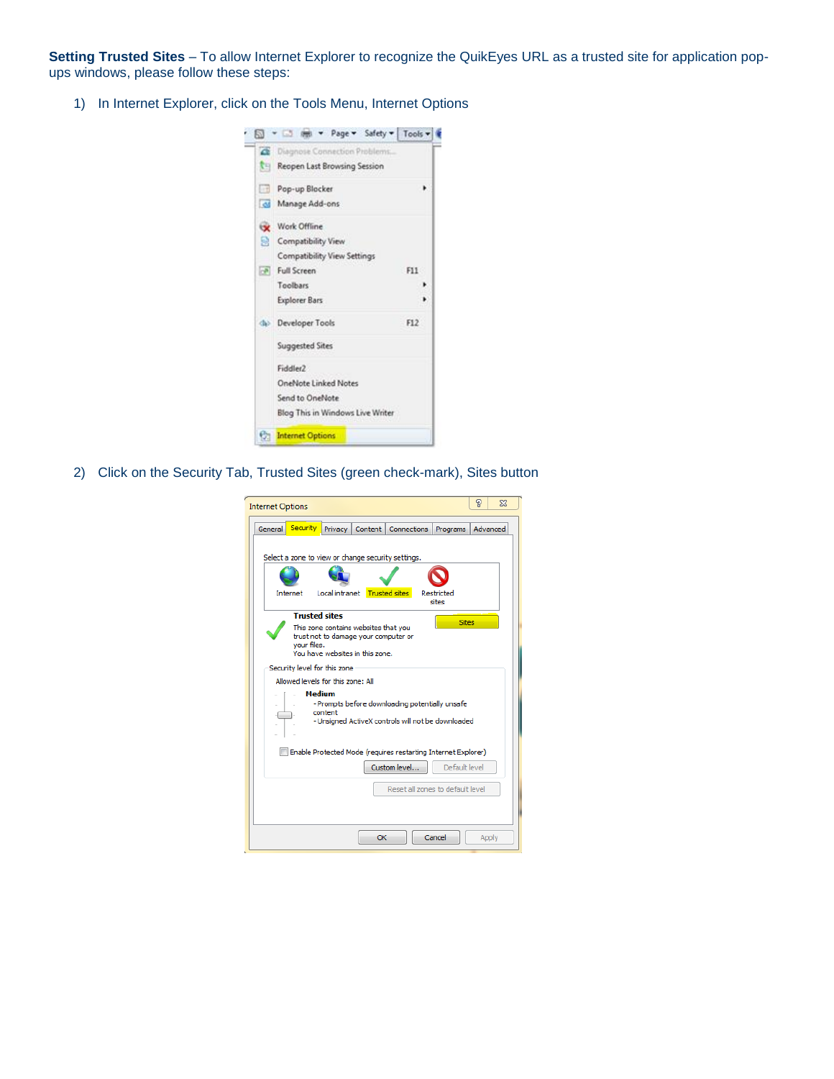**Setting Trusted Sites** – To allow Internet Explorer to recognize the QuikEyes URL as a trusted site for application popups windows, please follow these steps:

1) In Internet Explorer, click on the Tools Menu, Internet Options



2) Click on the Security Tab, Trusted Sites (green check-mark), Sites button

| <b>Internet Options</b>                                                                                                           | P | $\Sigma$ |
|-----------------------------------------------------------------------------------------------------------------------------------|---|----------|
|                                                                                                                                   |   |          |
| <b>Security</b><br>Content<br>General<br>Privacy<br>Connections<br>Programs                                                       |   | Advanced |
| Select a zone to view or change security settings.                                                                                |   |          |
| Local intranet<br><b>Trusted sites</b><br>Internet<br>Restricted<br>sites                                                         |   |          |
| <b>Trusted sites</b><br><b>Sites</b>                                                                                              |   |          |
| This zone contains websites that you<br>trust not to damage your computer or<br>vour files.<br>You have websites in this zone.    |   |          |
| Security level for this zone                                                                                                      |   |          |
| Allowed levels for this zone: All                                                                                                 |   |          |
| <b>Medium</b><br>- Prompts before downloading potentially unsafe<br>content<br>- Unsigned ActiveX controls will not be downloaded |   |          |
| Enable Protected Mode (requires restarting Internet Explorer)                                                                     |   |          |
| Custom level<br>Default level                                                                                                     |   |          |
| Reset all zones to default level.                                                                                                 |   |          |
| Cancel<br>OK                                                                                                                      |   | Apply    |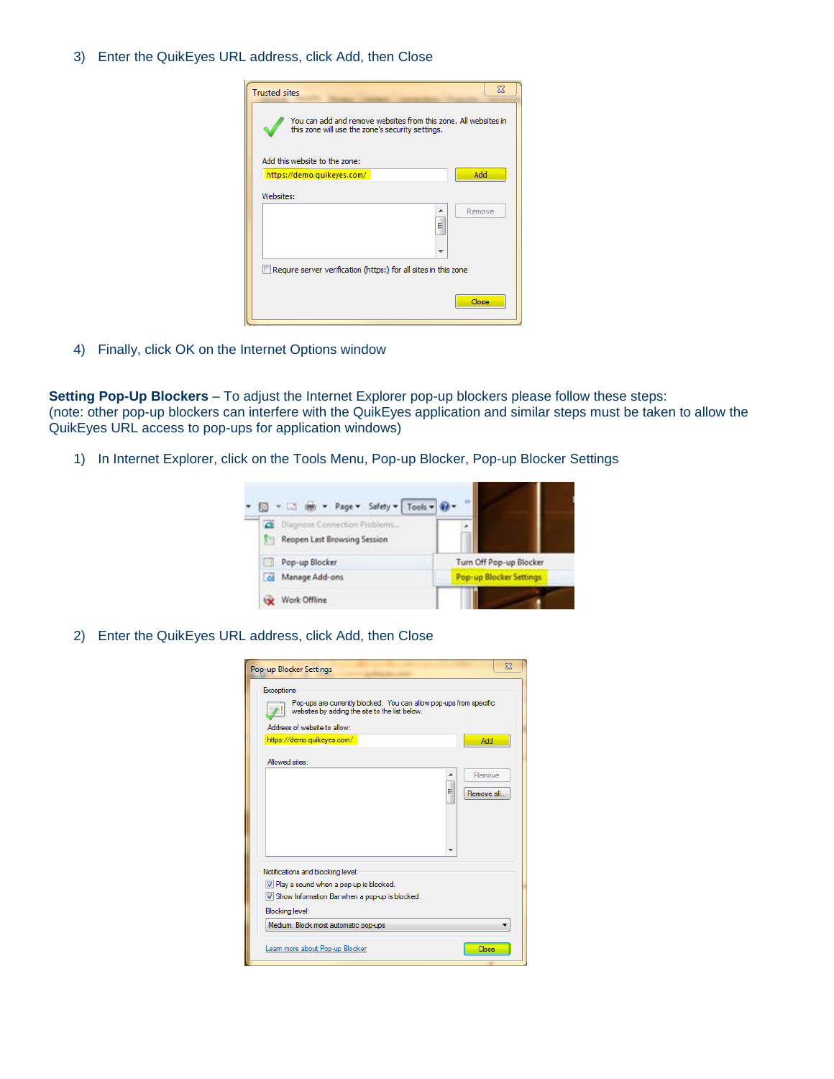3) Enter the QuikEyes URL address, click Add, then Close



4) Finally, click OK on the Internet Options window

**Setting Pop-Up Blockers** – To adjust the Internet Explorer pop-up blockers please follow these steps: (note: other pop-up blockers can interfere with the QuikEyes application and similar steps must be taken to allow the QuikEyes URL access to pop-ups for application windows)

1) In Internet Explorer, click on the Tools Menu, Pop-up Blocker, Pop-up Blocker Settings



2) Enter the QuikEyes URL address, click Add, then Close

| Pop-up Blocker Settings                                                                                                                                                   | $\Sigma$              |
|---------------------------------------------------------------------------------------------------------------------------------------------------------------------------|-----------------------|
| <b>Exceptions</b><br>Pop-ups are currently blocked. You can allow pop-ups from specific<br>websites by adding the site to the list below.<br>Address of website to allow: |                       |
| https://demo.quikeyes.com/                                                                                                                                                | Add                   |
| Allowed sites:                                                                                                                                                            |                       |
| ▲<br>Ξ                                                                                                                                                                    | Remove<br>Remove all. |
|                                                                                                                                                                           |                       |
| Notifications and blocking level:                                                                                                                                         |                       |
| V Play a sound when a pop-up is blocked.                                                                                                                                  |                       |
| V Show Information Bar when a pop-up is blocked.                                                                                                                          |                       |
| <b>Blocking level:</b>                                                                                                                                                    |                       |
| Medium: Block most automatic pop-ups                                                                                                                                      |                       |
| Leam more about Pop-up Blocker                                                                                                                                            | Close                 |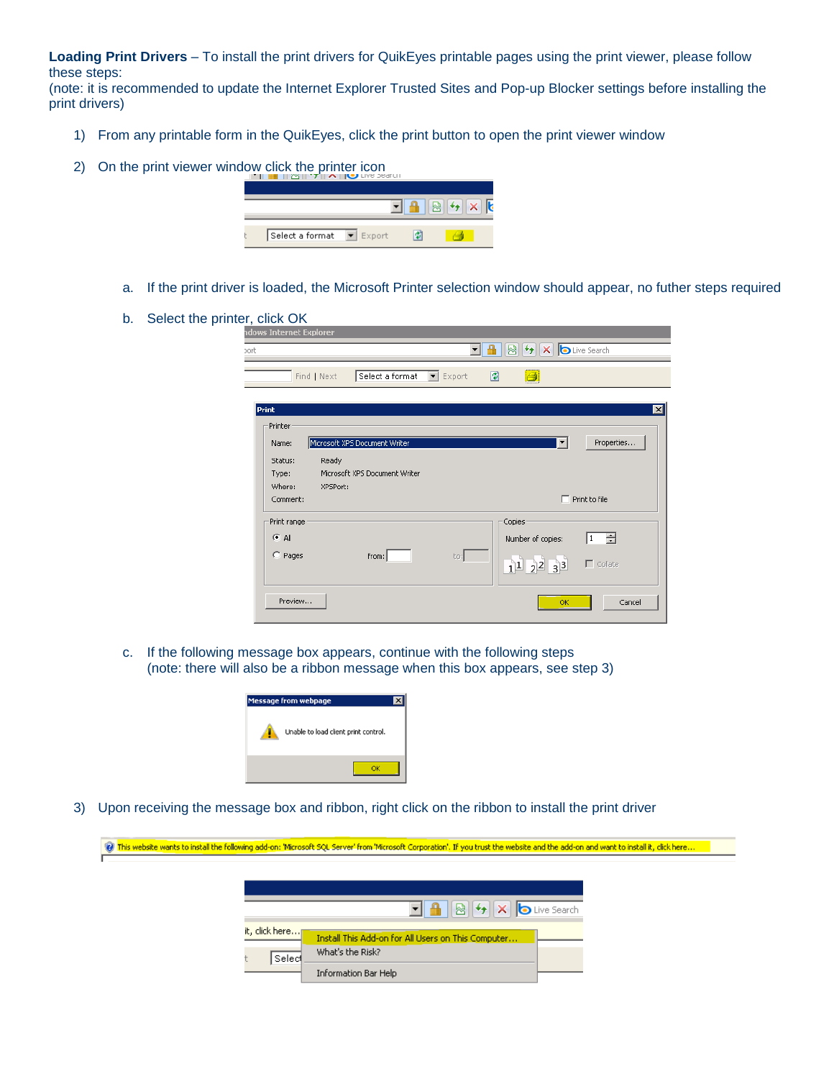**Loading Print Drivers** – To install the print drivers for QuikEyes printable pages using the print viewer, please follow these steps:

(note: it is recommended to update the Internet Explorer Trusted Sites and Pop-up Blocker settings before installing the print drivers)

- 1) From any printable form in the QuikEyes, click the print button to open the print viewer window
- 2) On the print viewer window click the printer icon



- a. If the print driver is loaded, the Microsoft Printer selection window should appear, no futher steps required
- b. Select the printer, click OK

| dows Internet Explorer |             |                                                 | ▾∣  |                   | 8 + X D Live Search                                   |                            |
|------------------------|-------------|-------------------------------------------------|-----|-------------------|-------------------------------------------------------|----------------------------|
|                        | Find   Next | Select a format $\vert \mathbf{v} \vert$ Export |     | 圍<br>Ø            |                                                       |                            |
| Print                  |             |                                                 |     |                   |                                                       | $\mathbf{z}$               |
| Printer<br>Name:       |             | Microsoft XPS Document Writer                   |     |                   | ▼                                                     | Properties                 |
| Status:<br>Type:       | Ready       | Microsoft XPS Document Writer                   |     |                   |                                                       |                            |
| Where:<br>Comment:     | XPSPort:    |                                                 |     |                   |                                                       | $\Box$ Print to file       |
| Print range<br>$C$ All |             |                                                 |     | Copies            |                                                       |                            |
| $C$ Pages              |             | from:                                           | to: | Number of copies: | $1\overline{)1\overline{)2\overline{2}}\overline{33}$ | ÷<br>  1<br>$\Box$ Collate |
| Preview                |             |                                                 |     |                   | OK                                                    | Cancel                     |

c. If the following message box appears, continue with the following steps (note: there will also be a ribbon message when this box appears, see step 3)



3) Upon receiving the message box and ribbon, right click on the ribbon to install the print driver

|                  | (e) This website wants to install the following add-on: 'Microsoft SQL Server' from 'Microsoft Corporation'. If you trust the website and the add-on and want to install it, click here |  |
|------------------|-----------------------------------------------------------------------------------------------------------------------------------------------------------------------------------------|--|
|                  |                                                                                                                                                                                         |  |
|                  |                                                                                                                                                                                         |  |
|                  |                                                                                                                                                                                         |  |
|                  | $\boxed{1}$ <b>4</b> $\boxed{8}$ <b><math>\rightarrow</math> <math>\boxed{\times}</math></b> $\boxed{\bullet}$ Live Search                                                              |  |
| it, click here…∏ | Install This Add-on for All Users on This Computer                                                                                                                                      |  |
| Select           | What's the Risk?                                                                                                                                                                        |  |
|                  | Information Bar Help                                                                                                                                                                    |  |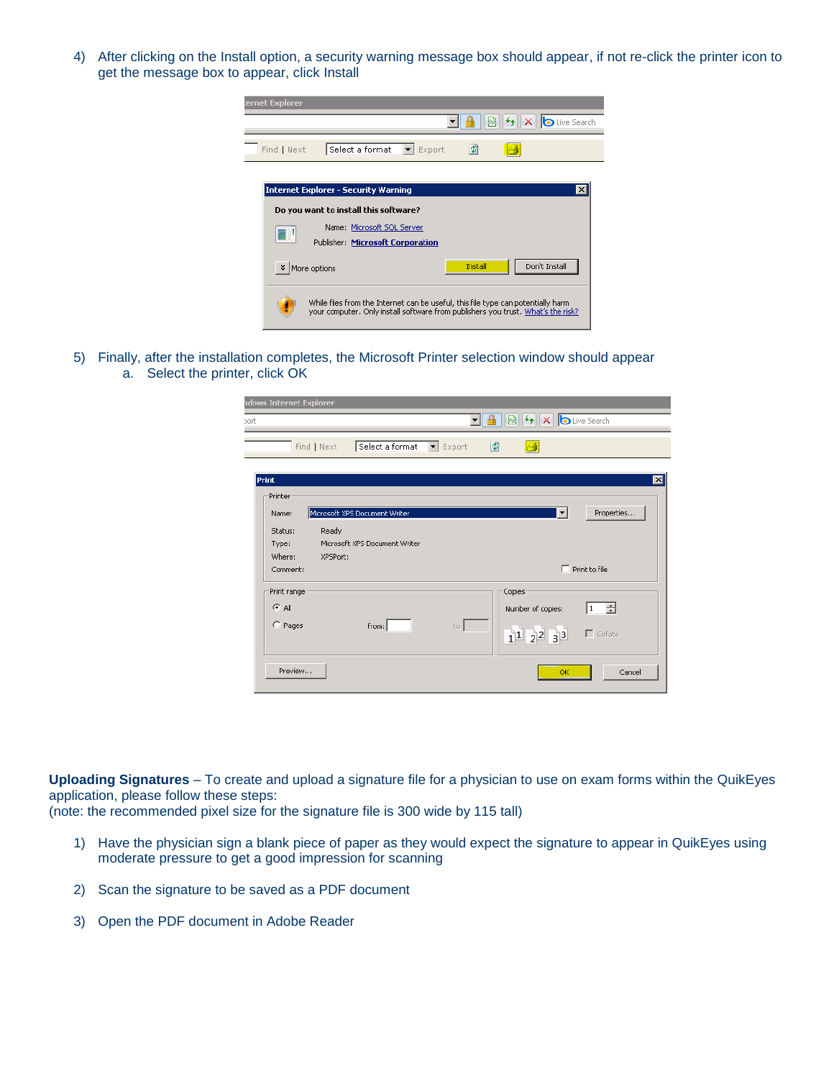4) After clicking on the Install option, a security warning message box should appear, if not re-click the printer icon to get the message box to appear, click Install



5) Finally, after the installation completes, the Microsoft Printer selection window should appear a. Select the printer, click OK

| <b>ndows Internet Explorer</b> |             |                               | $\left\vert \mathbf{v}\right\rangle$ |        | 8 + X <b>b</b> Live Search |                      |
|--------------------------------|-------------|-------------------------------|--------------------------------------|--------|----------------------------|----------------------|
|                                | Find   Next | Select a format               | $\blacktriangleright$ Export         | 圍      | Ø                          |                      |
| Print                          |             |                               |                                      |        |                            |                      |
| Printer                        |             |                               |                                      |        |                            |                      |
| Name:                          |             | Microsoft XPS Document Writer |                                      |        | ▾                          | Properties           |
| Status:                        | Ready       |                               |                                      |        |                            |                      |
| Type:                          |             | Microsoft XPS Document Writer |                                      |        |                            |                      |
| Where:                         | XPSPort:    |                               |                                      |        |                            |                      |
| Comment:                       |             |                               |                                      |        |                            | $\Box$ Print to file |
| Print range                    |             |                               |                                      | Copies |                            |                      |
| $C$ All                        |             |                               |                                      |        | Number of copies:          | $\div$<br>1          |
|                                |             |                               |                                      |        |                            |                      |
| $C$ Pages                      |             | from:                         | to:                                  |        | $1^{1}$ $2^{2}$ $3^{3}$    | $\Gamma$ Collate     |
| Preview                        |             |                               |                                      |        | OK.                        | Cancel               |

**Uploading Signatures** – To create and upload a signature file for a physician to use on exam forms within the QuikEyes application, please follow these steps:

(note: the recommended pixel size for the signature file is 300 wide by 115 tall)

- 1) Have the physician sign a blank piece of paper as they would expect the signature to appear in QuikEyes using moderate pressure to get a good impression for scanning
- 2) Scan the signature to be saved as a PDF document
- 3) Open the PDF document in Adobe Reader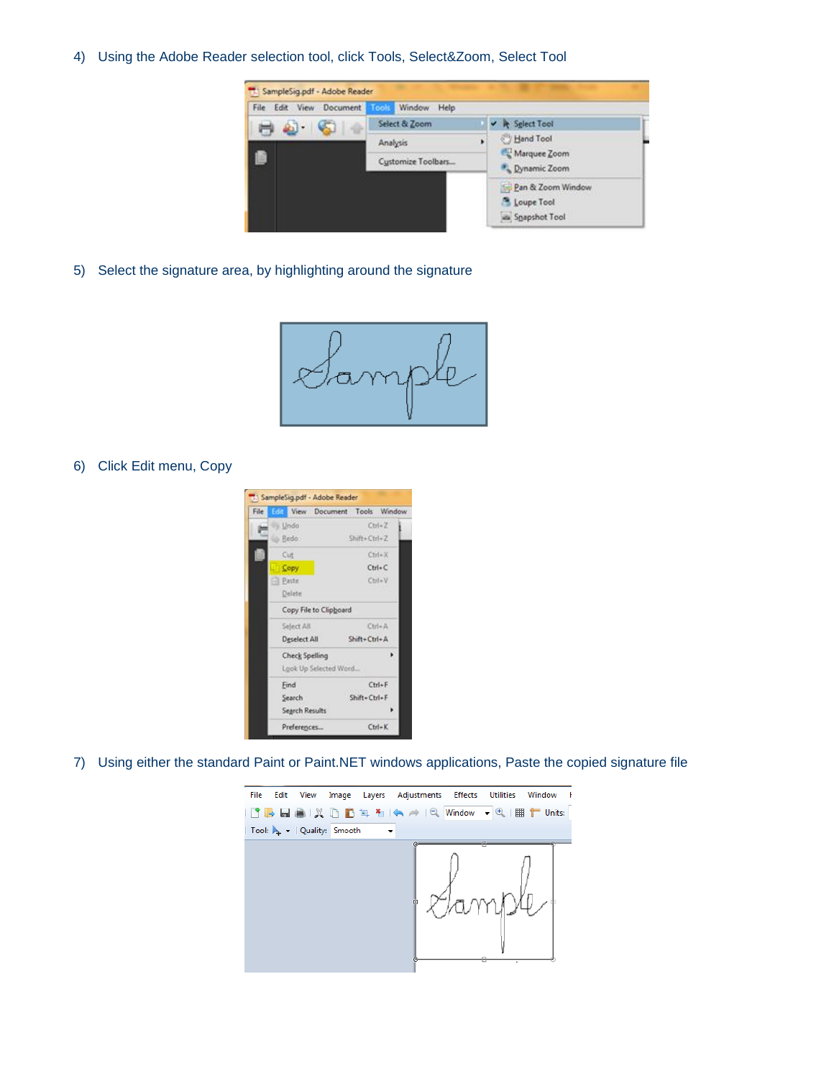4) Using the Adobe Reader selection tool, click Tools, Select&Zoom, Select Tool



5) Select the signature area, by highlighting around the signature



6) Click Edit menu, Copy



7) Using either the standard Paint or Paint.NET windows applications, Paste the copied signature file

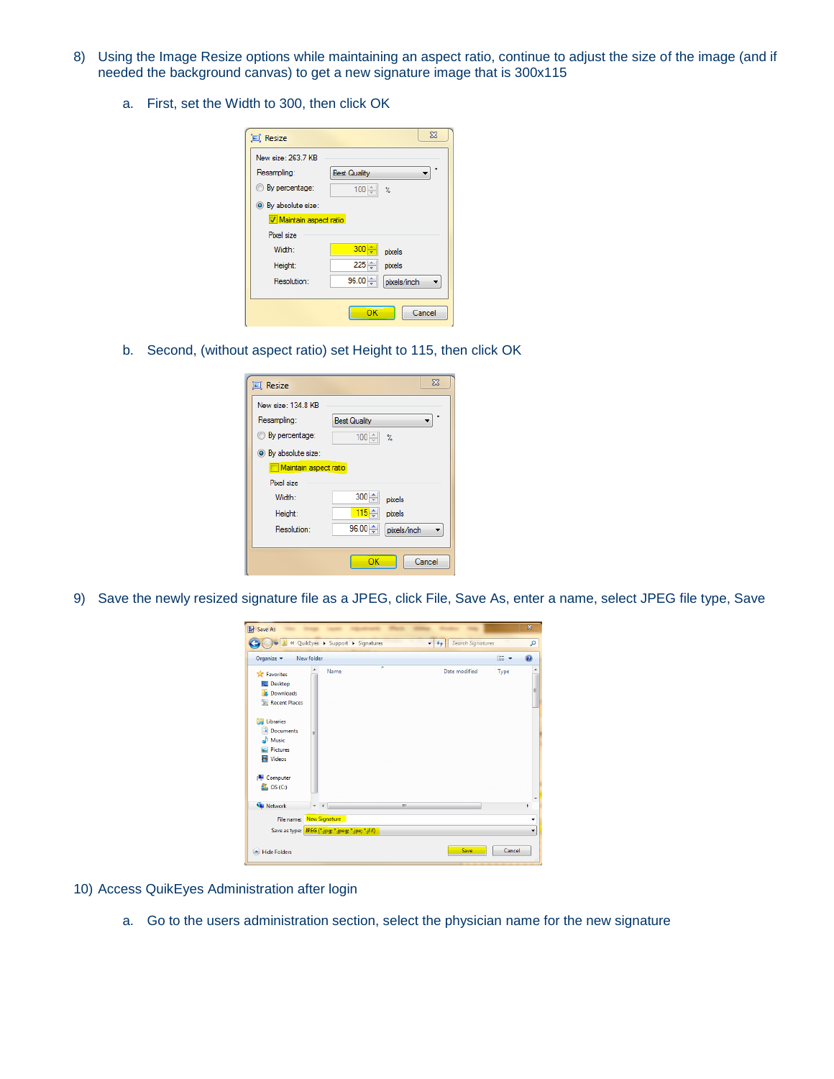- 8) Using the Image Resize options while maintaining an aspect ratio, continue to adjust the size of the image (and if needed the background canvas) to get a new signature image that is 300x115
	- a. First, set the Width to 300, then click OK

| 回 Resize                   |                     | $\Sigma$         |
|----------------------------|---------------------|------------------|
| New size: 263 7 KB         |                     |                  |
| Resampling:                | <b>Best Quality</b> |                  |
| By percentage:             | $100 -$             | $\gamma_{\rm e}$ |
| <b>O</b> By absolute size: |                     |                  |
| Maintain aspect ratio      |                     |                  |
| Pixel size                 |                     |                  |
| Width:                     | $300 -$             | pixels           |
| Height:                    | $225 -$             | pixels           |
| Resolution:                | 96.00               | pixels/inch      |
|                            |                     |                  |
|                            | OK                  | Cancel           |

b. Second, (without aspect ratio) set Height to 115, then click OK

| <b>□ Resize</b>       | $\Sigma$                    |
|-----------------------|-----------------------------|
| New size: 134 8 KB    |                             |
| Resampling:           | <b>Best Quality</b>         |
| <b>By percentage:</b> | $100 -$<br>$\gamma_{\rm e}$ |
| Sy absolute size:     |                             |
| Maintain aspect ratio |                             |
| Pixel size            |                             |
| Width:                | $300 \div$<br>pixels        |
| Height:               | 115 수<br>pixels             |
| Resolution:           | $96.00 -$<br>pixels/inch    |
|                       |                             |
|                       | Cancel<br>ОΚ                |

9) Save the newly resized signature file as a JPEG, click File, Save As, enter a name, select JPEG file type, Save

| Save As                                                                           |                                                   |   |       |                   |            | $\overline{\mathbf{x}}$ |
|-----------------------------------------------------------------------------------|---------------------------------------------------|---|-------|-------------------|------------|-------------------------|
|                                                                                   | « QuikEyes > Support > Signatures                 |   | $-14$ | Search Signatures |            | م                       |
| Organize v                                                                        | New folder                                        |   |       |                   | <b>距 +</b> | $\odot$                 |
| <b>Tavorites</b><br>$\Box$ Desktop                                                | Name                                              | × |       | Date modified     | Type       |                         |
| <b>Downloads</b><br>Recent Places                                                 |                                                   |   |       |                   |            | Ë                       |
| <b>Ed Libraries</b><br>• Documents<br>Music<br><b>Pictures</b><br><b>N</b> Videos | Ε                                                 |   |       |                   |            |                         |
| Computer<br>$\frac{dy}{dx}$ , OS (C:)                                             |                                                   |   |       |                   |            | ٠                       |
| <b>Gu</b> Network                                                                 | $\ddot{}$<br>$\rightarrow$                        | m |       |                   |            | k                       |
|                                                                                   | File name: New Signature                          |   |       |                   |            | ٠                       |
|                                                                                   | Save as type: JPEG (*.jpg; *.jpeg; *.jpe; *.jfif) |   |       |                   |            | ٠                       |
| <b>Hide Folders</b>                                                               |                                                   |   |       | Save              | Cancel     |                         |

- 10) Access QuikEyes Administration after login
	- a. Go to the users administration section, select the physician name for the new signature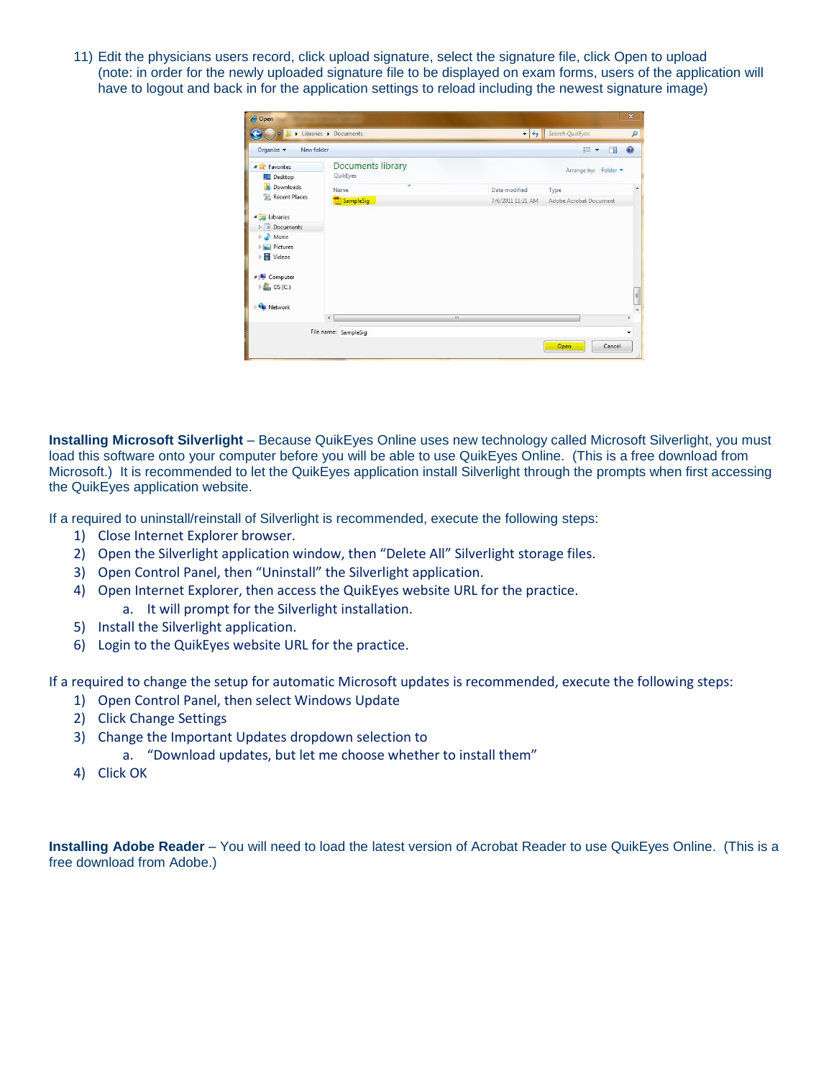11) Edit the physicians users record, click upload signature, select the signature file, click Open to upload (note: in order for the newly uploaded signature file to be displayed on exam forms, users of the application will have to logout and back in for the application settings to reload including the newest signature image)

| C Open                                                                                                                                                                                      |                                      |    |                   |                        | $\overline{\mathbf{x}}$        |
|---------------------------------------------------------------------------------------------------------------------------------------------------------------------------------------------|--------------------------------------|----|-------------------|------------------------|--------------------------------|
|                                                                                                                                                                                             | Libraries > Documents                |    | $-4+$             | Search QuikEyes        | $\mathbf{Q}$                   |
| Organize v<br>New folder                                                                                                                                                                    |                                      |    |                   | $\mathbb{R}$ +<br>п    | $\circledcirc$                 |
| <b>4</b> Favorites<br>Desktop                                                                                                                                                               | <b>Documents library</b><br>QuikEyes |    |                   | Arrange by: Folder     |                                |
| <b>Downloads</b>                                                                                                                                                                            | A<br>Name                            |    | Date modified     | Type                   | À                              |
| Recent Places                                                                                                                                                                               | SampleSig                            |    | 7/6/2011 11:21 AM | Adobe Acrobat Document |                                |
| 4 Libraries<br>Documents<br>Music<br>D.<br>$\triangleright$ $\blacksquare$ Pictures<br><b>Nideos</b><br>4 <sup>1</sup> Computer<br>$\triangleright$ <b>E</b> , OS (C:)<br><b>EN Network</b> |                                      |    |                   |                        | E.<br>$\overline{\phantom{a}}$ |
|                                                                                                                                                                                             | $\epsilon$                           | m. |                   |                        | ×                              |
|                                                                                                                                                                                             | File name: SampleSig                 |    |                   | Cancel<br>Open         | ۰<br>- Al                      |

**Installing Microsoft Silverlight** – Because QuikEyes Online uses new technology called Microsoft Silverlight, you must load this software onto your computer before you will be able to use QuikEyes Online. (This is a free download from Microsoft.) It is recommended to let the QuikEyes application install Silverlight through the prompts when first accessing the QuikEyes application website.

If a required to uninstall/reinstall of Silverlight is recommended, execute the following steps:

- 1) Close Internet Explorer browser.
- 2) Open the Silverlight application window, then "Delete All" Silverlight storage files.
- 3) Open Control Panel, then "Uninstall" the Silverlight application.
- 4) Open Internet Explorer, then access the QuikEyes website URL for the practice. a. It will prompt for the Silverlight installation.
- 5) Install the Silverlight application.
- 6) Login to the QuikEyes website URL for the practice.

If a required to change the setup for automatic Microsoft updates is recommended, execute the following steps:

- 1) Open Control Panel, then select Windows Update
- 2) Click Change Settings
- 3) Change the Important Updates dropdown selection to
	- a. "Download updates, but let me choose whether to install them"
- 4) Click OK

**Installing Adobe Reader** – You will need to load the latest version of Acrobat Reader to use QuikEyes Online. (This is a free download from Adobe.)